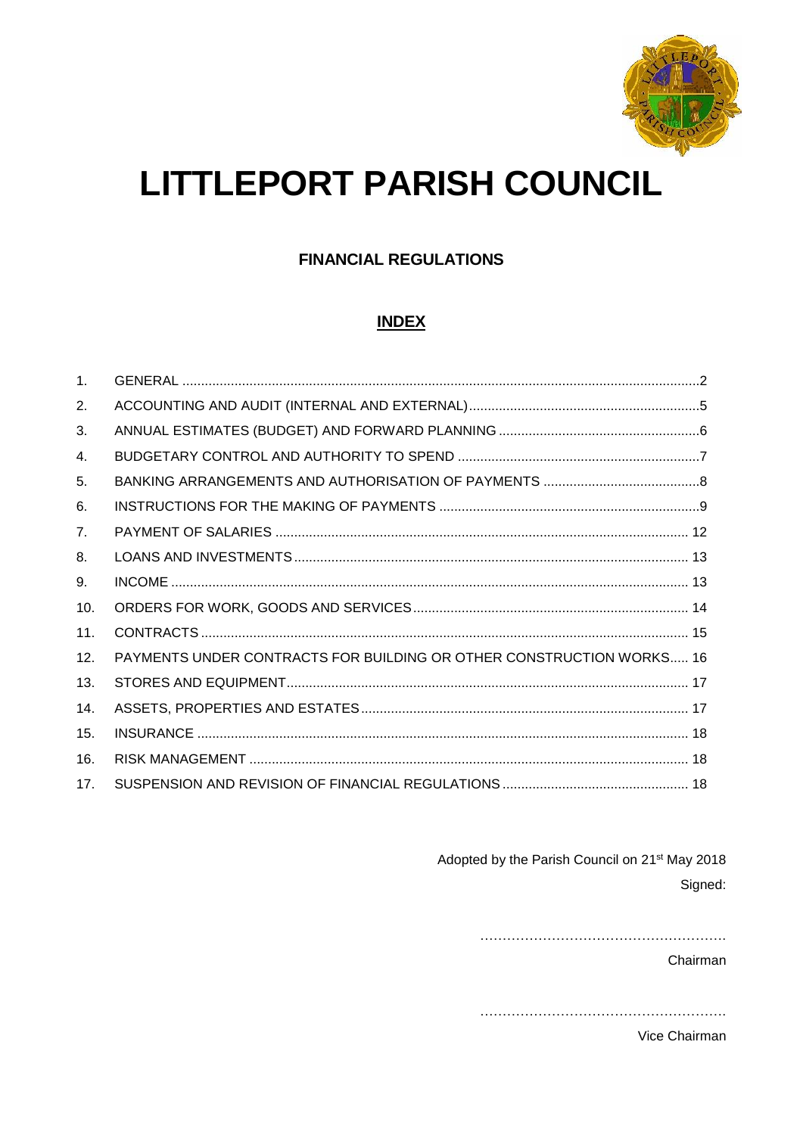

# **LITTLEPORT PARISH COUNCIL**

## **FINANCIAL REGULATIONS**

## **INDEX**

| 1 <sub>1</sub> |                                                                      |  |
|----------------|----------------------------------------------------------------------|--|
| 2.             |                                                                      |  |
| 3.             |                                                                      |  |
| 4.             |                                                                      |  |
| 5.             |                                                                      |  |
| 6.             |                                                                      |  |
| 7 <sub>1</sub> |                                                                      |  |
| 8.             |                                                                      |  |
| 9.             |                                                                      |  |
| 10.            |                                                                      |  |
| 11.            |                                                                      |  |
| 12.            | PAYMENTS UNDER CONTRACTS FOR BUILDING OR OTHER CONSTRUCTION WORKS 16 |  |
| 13.            |                                                                      |  |
| 14.            |                                                                      |  |
| 15.            |                                                                      |  |
| 16.            |                                                                      |  |
| 17.            |                                                                      |  |

Adopted by the Parish Council on 21<sup>st</sup> May 2018 Signed:

Chairman

Vice Chairman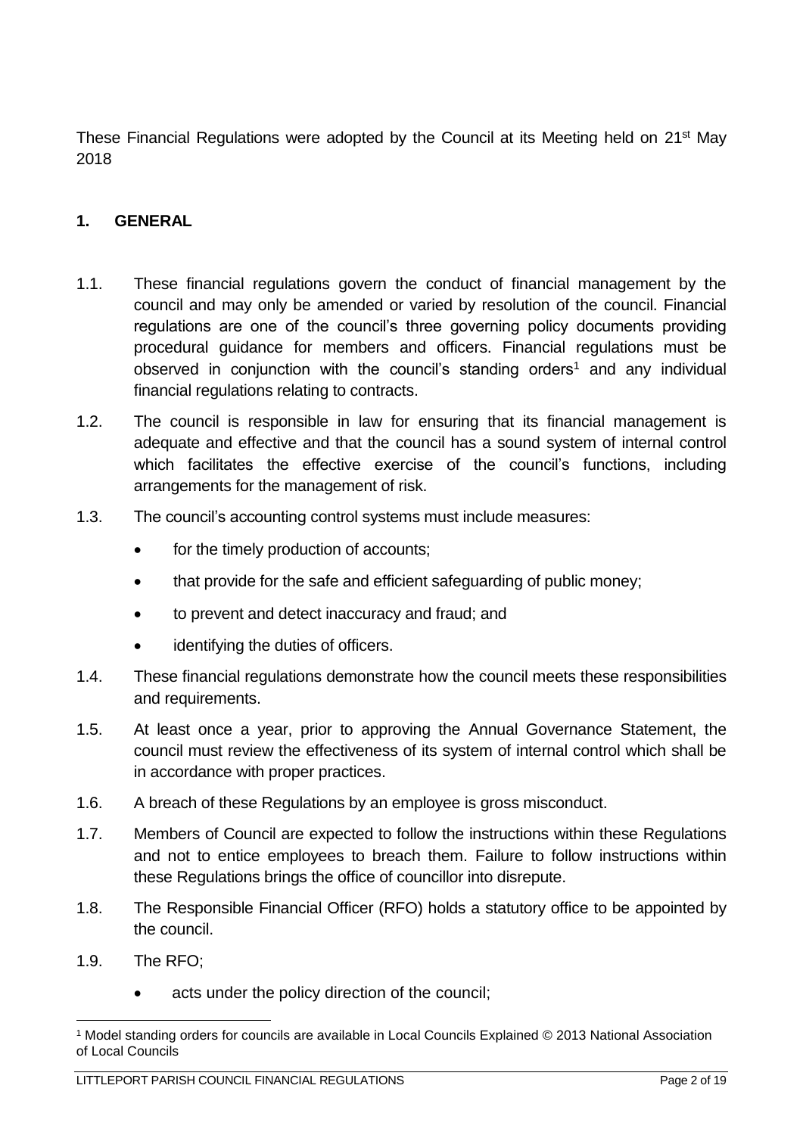These Financial Regulations were adopted by the Council at its Meeting held on 21<sup>st</sup> May 2018

### <span id="page-1-0"></span>**1. GENERAL**

- 1.1. These financial regulations govern the conduct of financial management by the council and may only be amended or varied by resolution of the council. Financial regulations are one of the council's three governing policy documents providing procedural guidance for members and officers. Financial regulations must be observed in conjunction with the council's standing orders<sup>1</sup> and any individual financial regulations relating to contracts.
- 1.2. The council is responsible in law for ensuring that its financial management is adequate and effective and that the council has a sound system of internal control which facilitates the effective exercise of the council's functions, including arrangements for the management of risk.
- 1.3. The council's accounting control systems must include measures:
	- for the timely production of accounts;
	- that provide for the safe and efficient safeguarding of public money;
	- to prevent and detect inaccuracy and fraud; and
	- identifying the duties of officers.
- 1.4. These financial regulations demonstrate how the council meets these responsibilities and requirements.
- 1.5. At least once a year, prior to approving the Annual Governance Statement, the council must review the effectiveness of its system of internal control which shall be in accordance with proper practices.
- 1.6. A breach of these Regulations by an employee is gross misconduct.
- 1.7. Members of Council are expected to follow the instructions within these Regulations and not to entice employees to breach them. Failure to follow instructions within these Regulations brings the office of councillor into disrepute.
- 1.8. The Responsible Financial Officer (RFO) holds a statutory office to be appointed by the council.
- 1.9. The RFO;
	- acts under the policy direction of the council;

<sup>1</sup> <sup>1</sup> Model standing orders for councils are available in Local Councils Explained © 2013 National Association of Local Councils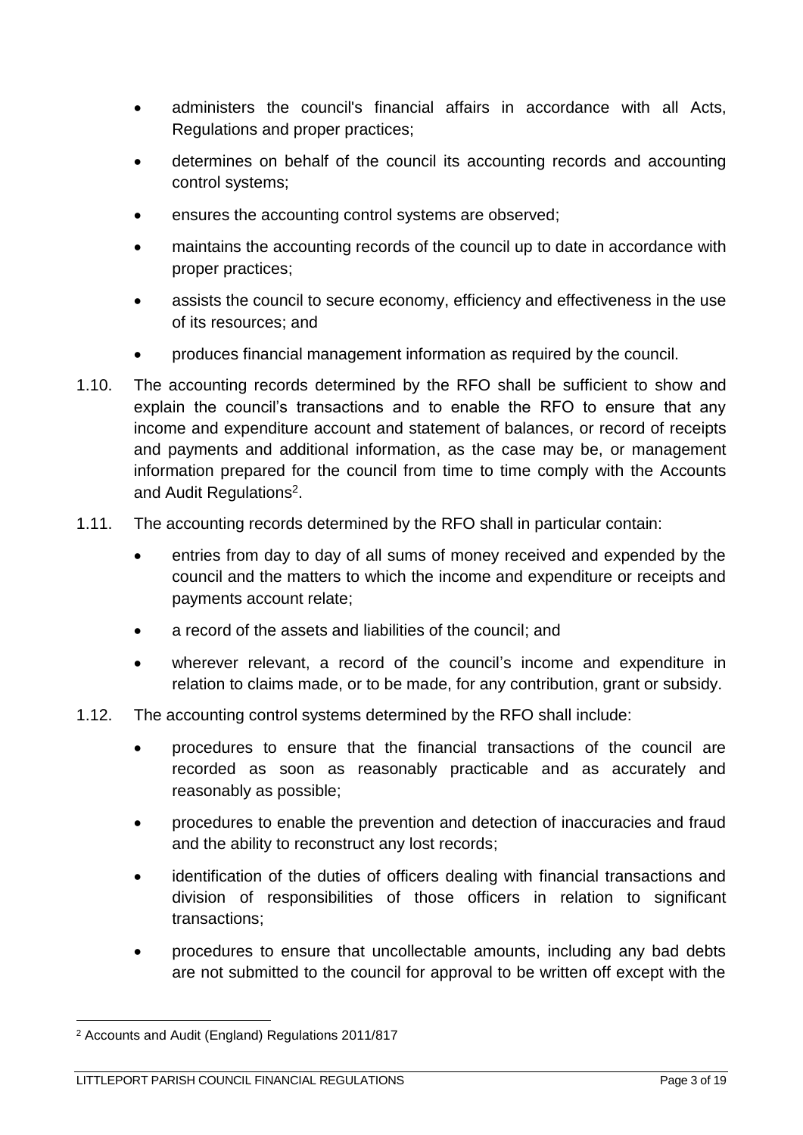- administers the council's financial affairs in accordance with all Acts, Regulations and proper practices;
- determines on behalf of the council its accounting records and accounting control systems;
- ensures the accounting control systems are observed;
- maintains the accounting records of the council up to date in accordance with proper practices;
- assists the council to secure economy, efficiency and effectiveness in the use of its resources; and
- produces financial management information as required by the council.
- 1.10. The accounting records determined by the RFO shall be sufficient to show and explain the council's transactions and to enable the RFO to ensure that any income and expenditure account and statement of balances, or record of receipts and payments and additional information, as the case may be, or management information prepared for the council from time to time comply with the Accounts and Audit Regulations<sup>2</sup>.
- 1.11. The accounting records determined by the RFO shall in particular contain:
	- entries from day to day of all sums of money received and expended by the council and the matters to which the income and expenditure or receipts and payments account relate;
	- a record of the assets and liabilities of the council; and
	- wherever relevant, a record of the council's income and expenditure in relation to claims made, or to be made, for any contribution, grant or subsidy.
- 1.12. The accounting control systems determined by the RFO shall include:
	- procedures to ensure that the financial transactions of the council are recorded as soon as reasonably practicable and as accurately and reasonably as possible;
	- procedures to enable the prevention and detection of inaccuracies and fraud and the ability to reconstruct any lost records;
	- identification of the duties of officers dealing with financial transactions and division of responsibilities of those officers in relation to significant transactions;
	- procedures to ensure that uncollectable amounts, including any bad debts are not submitted to the council for approval to be written off except with the

1

<sup>2</sup> Accounts and Audit (England) Regulations 2011/817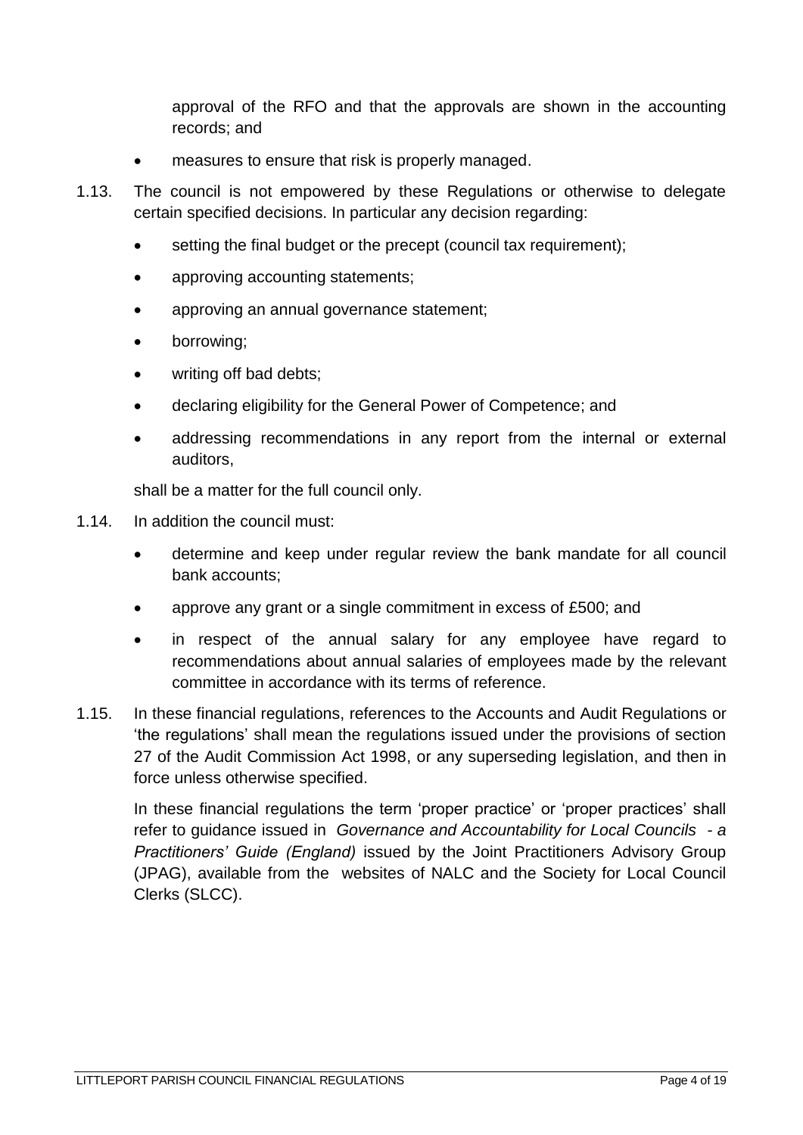approval of the RFO and that the approvals are shown in the accounting records; and

- measures to ensure that risk is properly managed.
- 1.13. The council is not empowered by these Regulations or otherwise to delegate certain specified decisions. In particular any decision regarding:
	- setting the final budget or the precept (council tax requirement);
	- approving accounting statements;
	- approving an annual governance statement;
	- borrowing;
	- writing off bad debts:
	- declaring eligibility for the General Power of Competence; and
	- addressing recommendations in any report from the internal or external auditors,

shall be a matter for the full council only.

- 1.14. In addition the council must:
	- determine and keep under regular review the bank mandate for all council bank accounts;
	- approve any grant or a single commitment in excess of £500; and
	- in respect of the annual salary for any employee have regard to recommendations about annual salaries of employees made by the relevant committee in accordance with its terms of reference.
- 1.15. In these financial regulations, references to the Accounts and Audit Regulations or 'the regulations' shall mean the regulations issued under the provisions of section 27 of the Audit Commission Act 1998, or any superseding legislation, and then in force unless otherwise specified.

In these financial regulations the term 'proper practice' or 'proper practices' shall refer to guidance issued in *Governance and Accountability for Local Councils - a Practitioners' Guide (England)* issued by the Joint Practitioners Advisory Group (JPAG), available from the websites of NALC and the Society for Local Council Clerks (SLCC).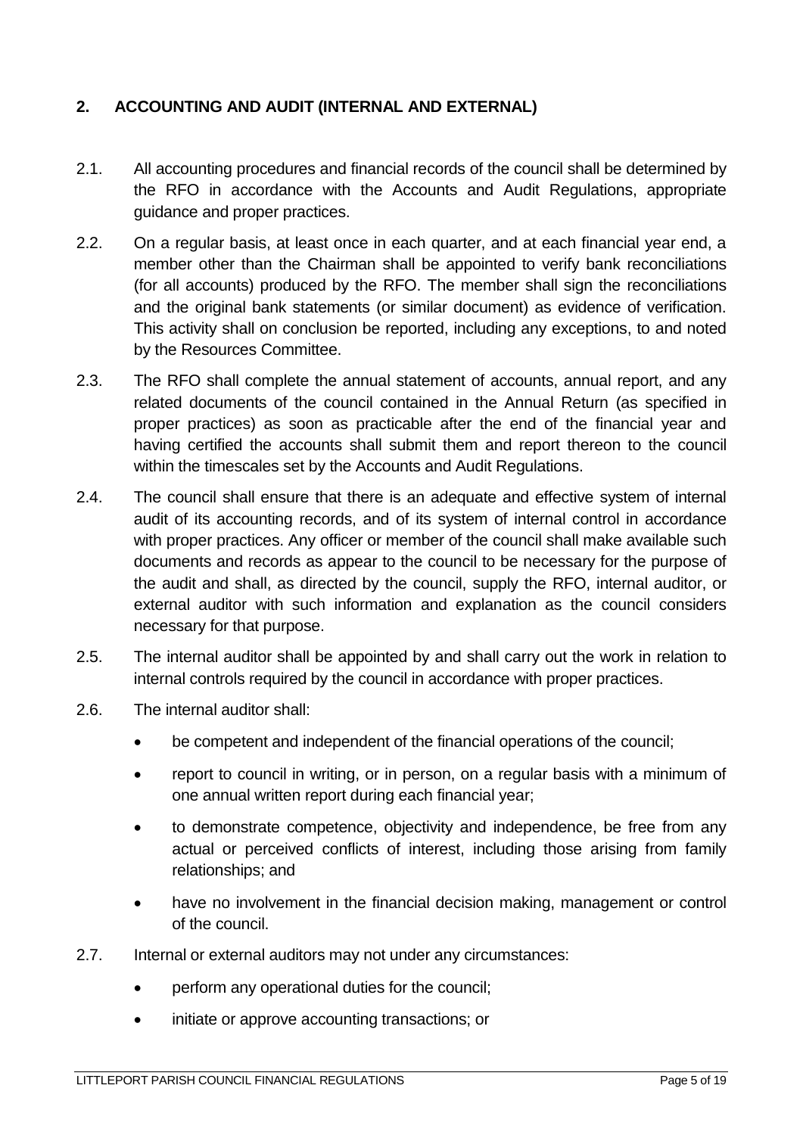## <span id="page-4-0"></span>**2. ACCOUNTING AND AUDIT (INTERNAL AND EXTERNAL)**

- 2.1. All accounting procedures and financial records of the council shall be determined by the RFO in accordance with the Accounts and Audit Regulations, appropriate guidance and proper practices.
- 2.2. On a regular basis, at least once in each quarter, and at each financial year end, a member other than the Chairman shall be appointed to verify bank reconciliations (for all accounts) produced by the RFO. The member shall sign the reconciliations and the original bank statements (or similar document) as evidence of verification. This activity shall on conclusion be reported, including any exceptions, to and noted by the Resources Committee.
- 2.3. The RFO shall complete the annual statement of accounts, annual report, and any related documents of the council contained in the Annual Return (as specified in proper practices) as soon as practicable after the end of the financial year and having certified the accounts shall submit them and report thereon to the council within the timescales set by the Accounts and Audit Regulations.
- 2.4. The council shall ensure that there is an adequate and effective system of internal audit of its accounting records, and of its system of internal control in accordance with proper practices. Any officer or member of the council shall make available such documents and records as appear to the council to be necessary for the purpose of the audit and shall, as directed by the council, supply the RFO, internal auditor, or external auditor with such information and explanation as the council considers necessary for that purpose.
- 2.5. The internal auditor shall be appointed by and shall carry out the work in relation to internal controls required by the council in accordance with proper practices.
- 2.6. The internal auditor shall:
	- be competent and independent of the financial operations of the council;
	- report to council in writing, or in person, on a regular basis with a minimum of one annual written report during each financial year;
	- to demonstrate competence, objectivity and independence, be free from any actual or perceived conflicts of interest, including those arising from family relationships; and
	- have no involvement in the financial decision making, management or control of the council.
- 2.7. Internal or external auditors may not under any circumstances:
	- perform any operational duties for the council;
	- initiate or approve accounting transactions; or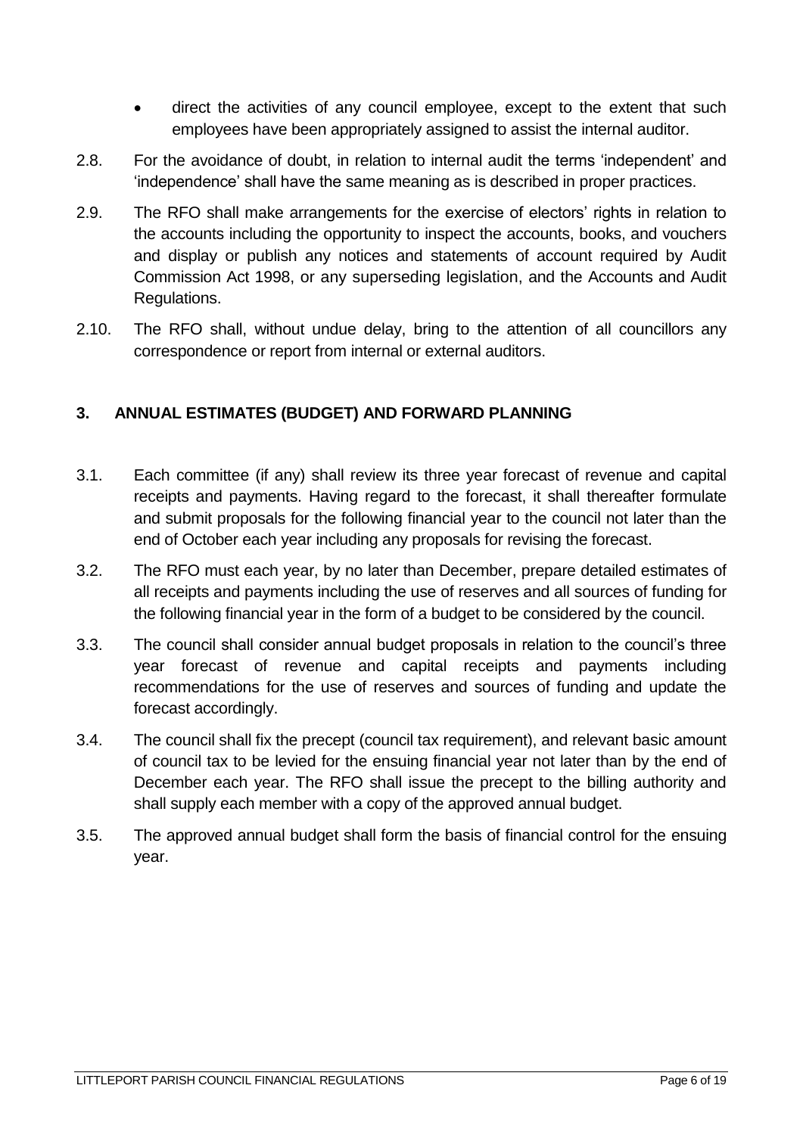- direct the activities of any council employee, except to the extent that such employees have been appropriately assigned to assist the internal auditor.
- 2.8. For the avoidance of doubt, in relation to internal audit the terms 'independent' and 'independence' shall have the same meaning as is described in proper practices.
- 2.9. The RFO shall make arrangements for the exercise of electors' rights in relation to the accounts including the opportunity to inspect the accounts, books, and vouchers and display or publish any notices and statements of account required by Audit Commission Act 1998, or any superseding legislation, and the Accounts and Audit Regulations.
- 2.10. The RFO shall, without undue delay, bring to the attention of all councillors any correspondence or report from internal or external auditors.

### <span id="page-5-0"></span>**3. ANNUAL ESTIMATES (BUDGET) AND FORWARD PLANNING**

- 3.1. Each committee (if any) shall review its three year forecast of revenue and capital receipts and payments. Having regard to the forecast, it shall thereafter formulate and submit proposals for the following financial year to the council not later than the end of October each year including any proposals for revising the forecast.
- 3.2. The RFO must each year, by no later than December, prepare detailed estimates of all receipts and payments including the use of reserves and all sources of funding for the following financial year in the form of a budget to be considered by the council.
- 3.3. The council shall consider annual budget proposals in relation to the council's three year forecast of revenue and capital receipts and payments including recommendations for the use of reserves and sources of funding and update the forecast accordingly.
- 3.4. The council shall fix the precept (council tax requirement), and relevant basic amount of council tax to be levied for the ensuing financial year not later than by the end of December each year. The RFO shall issue the precept to the billing authority and shall supply each member with a copy of the approved annual budget.
- 3.5. The approved annual budget shall form the basis of financial control for the ensuing year.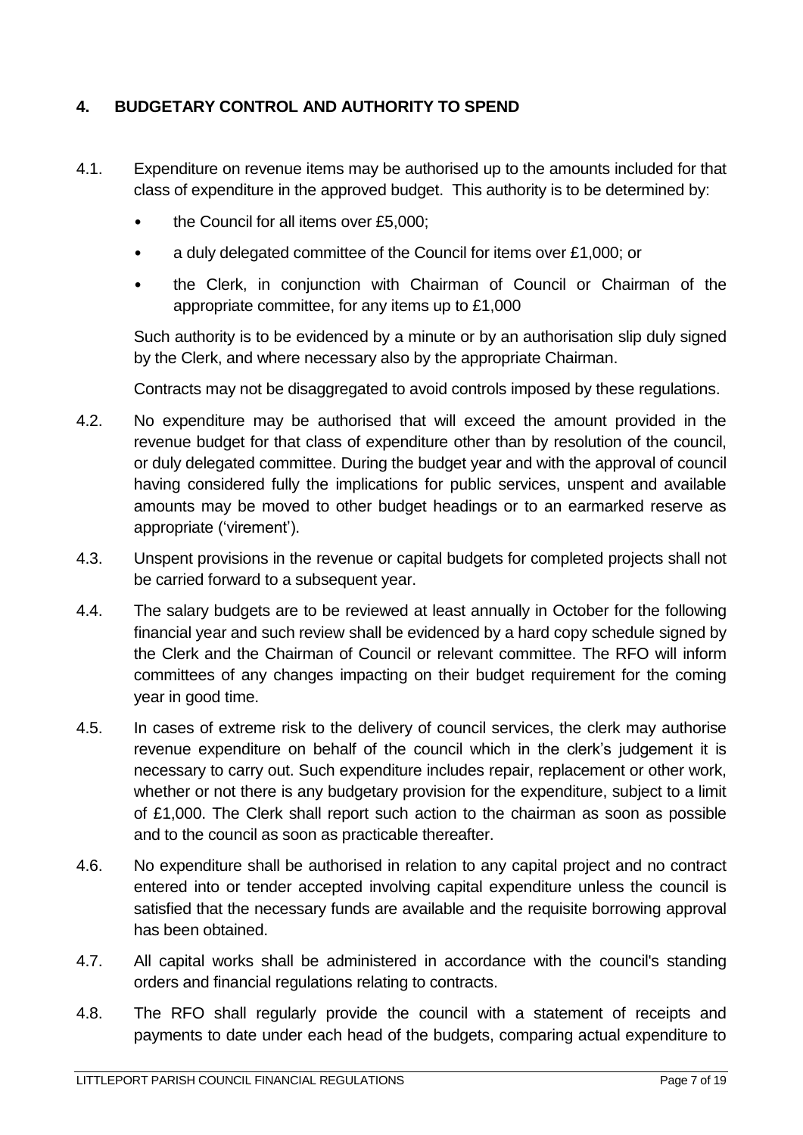## <span id="page-6-0"></span>**4. BUDGETARY CONTROL AND AUTHORITY TO SPEND**

- 4.1. Expenditure on revenue items may be authorised up to the amounts included for that class of expenditure in the approved budget. This authority is to be determined by:
	- the Council for all items over £5,000;
	- a duly delegated committee of the Council for items over £1,000; or
	- the Clerk, in conjunction with Chairman of Council or Chairman of the appropriate committee, for any items up to £1,000

Such authority is to be evidenced by a minute or by an authorisation slip duly signed by the Clerk, and where necessary also by the appropriate Chairman.

Contracts may not be disaggregated to avoid controls imposed by these regulations.

- 4.2. No expenditure may be authorised that will exceed the amount provided in the revenue budget for that class of expenditure other than by resolution of the council, or duly delegated committee. During the budget year and with the approval of council having considered fully the implications for public services, unspent and available amounts may be moved to other budget headings or to an earmarked reserve as appropriate ('virement').
- 4.3. Unspent provisions in the revenue or capital budgets for completed projects shall not be carried forward to a subsequent year.
- 4.4. The salary budgets are to be reviewed at least annually in October for the following financial year and such review shall be evidenced by a hard copy schedule signed by the Clerk and the Chairman of Council or relevant committee. The RFO will inform committees of any changes impacting on their budget requirement for the coming year in good time.
- 4.5. In cases of extreme risk to the delivery of council services, the clerk may authorise revenue expenditure on behalf of the council which in the clerk's judgement it is necessary to carry out. Such expenditure includes repair, replacement or other work, whether or not there is any budgetary provision for the expenditure, subject to a limit of £1,000. The Clerk shall report such action to the chairman as soon as possible and to the council as soon as practicable thereafter.
- 4.6. No expenditure shall be authorised in relation to any capital project and no contract entered into or tender accepted involving capital expenditure unless the council is satisfied that the necessary funds are available and the requisite borrowing approval has been obtained.
- 4.7. All capital works shall be administered in accordance with the council's standing orders and financial regulations relating to contracts.
- 4.8. The RFO shall regularly provide the council with a statement of receipts and payments to date under each head of the budgets, comparing actual expenditure to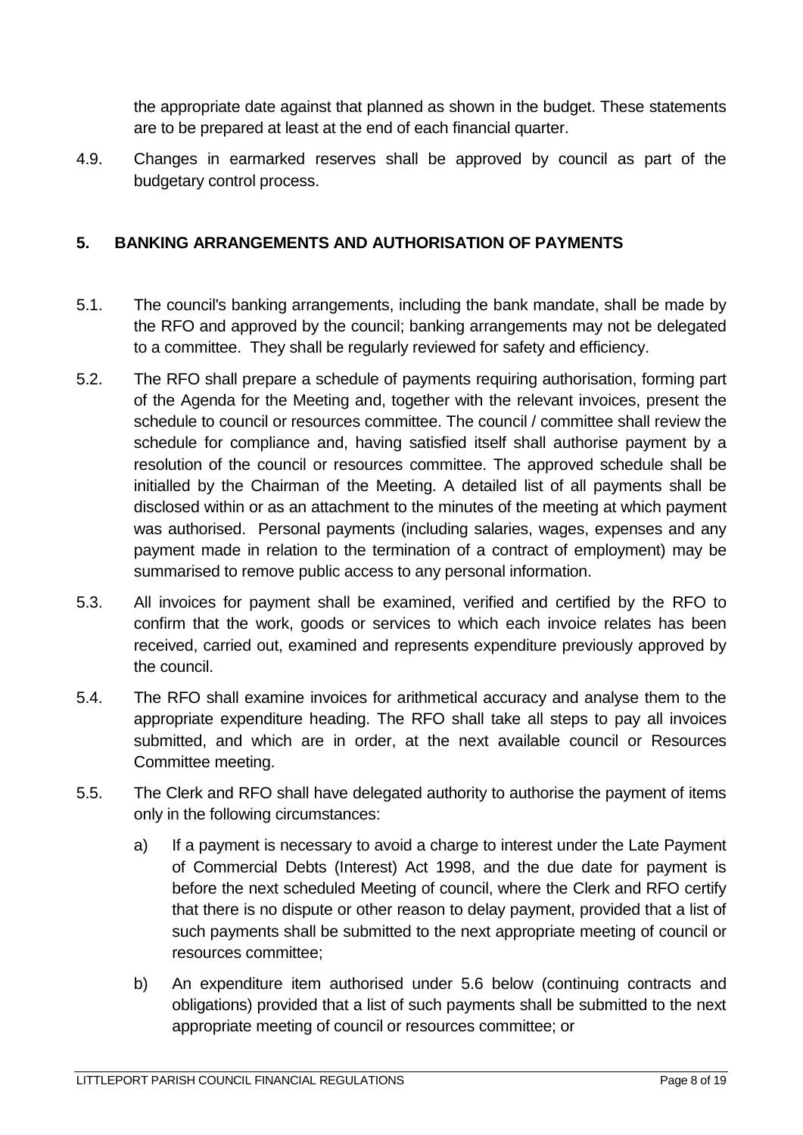the appropriate date against that planned as shown in the budget. These statements are to be prepared at least at the end of each financial quarter.

4.9. Changes in earmarked reserves shall be approved by council as part of the budgetary control process.

### <span id="page-7-0"></span>**5. BANKING ARRANGEMENTS AND AUTHORISATION OF PAYMENTS**

- 5.1. The council's banking arrangements, including the bank mandate, shall be made by the RFO and approved by the council; banking arrangements may not be delegated to a committee. They shall be regularly reviewed for safety and efficiency.
- 5.2. The RFO shall prepare a schedule of payments requiring authorisation, forming part of the Agenda for the Meeting and, together with the relevant invoices, present the schedule to council or resources committee. The council / committee shall review the schedule for compliance and, having satisfied itself shall authorise payment by a resolution of the council or resources committee. The approved schedule shall be initialled by the Chairman of the Meeting. A detailed list of all payments shall be disclosed within or as an attachment to the minutes of the meeting at which payment was authorised. Personal payments (including salaries, wages, expenses and any payment made in relation to the termination of a contract of employment) may be summarised to remove public access to any personal information.
- 5.3. All invoices for payment shall be examined, verified and certified by the RFO to confirm that the work, goods or services to which each invoice relates has been received, carried out, examined and represents expenditure previously approved by the council.
- 5.4. The RFO shall examine invoices for arithmetical accuracy and analyse them to the appropriate expenditure heading. The RFO shall take all steps to pay all invoices submitted, and which are in order, at the next available council or Resources Committee meeting.
- 5.5. The Clerk and RFO shall have delegated authority to authorise the payment of items only in the following circumstances:
	- a) If a payment is necessary to avoid a charge to interest under the Late Payment of Commercial Debts (Interest) Act 1998, and the due date for payment is before the next scheduled Meeting of council, where the Clerk and RFO certify that there is no dispute or other reason to delay payment, provided that a list of such payments shall be submitted to the next appropriate meeting of council or resources committee;
	- b) An expenditure item authorised under 5.6 below (continuing contracts and obligations) provided that a list of such payments shall be submitted to the next appropriate meeting of council or resources committee; or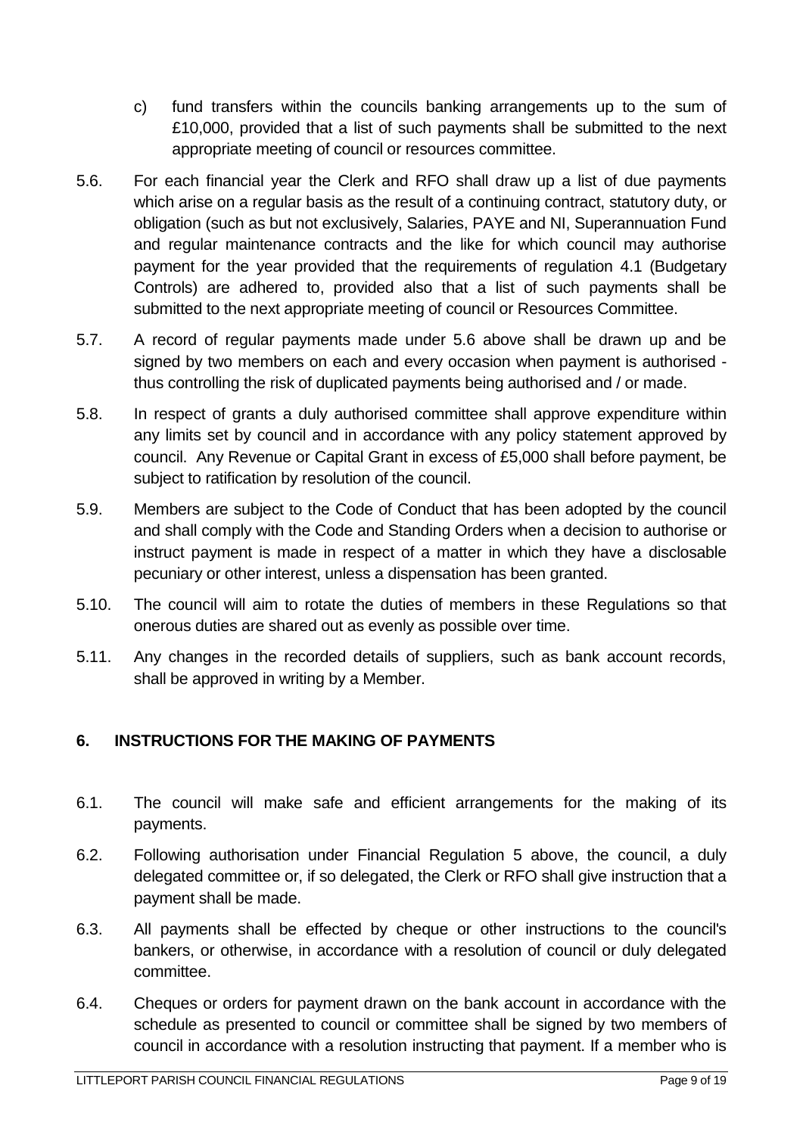- c) fund transfers within the councils banking arrangements up to the sum of £10,000, provided that a list of such payments shall be submitted to the next appropriate meeting of council or resources committee.
- 5.6. For each financial year the Clerk and RFO shall draw up a list of due payments which arise on a regular basis as the result of a continuing contract, statutory duty, or obligation (such as but not exclusively, Salaries, PAYE and NI, Superannuation Fund and regular maintenance contracts and the like for which council may authorise payment for the year provided that the requirements of regulation 4.1 (Budgetary Controls) are adhered to, provided also that a list of such payments shall be submitted to the next appropriate meeting of council or Resources Committee.
- 5.7. A record of regular payments made under 5.6 above shall be drawn up and be signed by two members on each and every occasion when payment is authorised thus controlling the risk of duplicated payments being authorised and / or made.
- 5.8. In respect of grants a duly authorised committee shall approve expenditure within any limits set by council and in accordance with any policy statement approved by council. Any Revenue or Capital Grant in excess of £5,000 shall before payment, be subject to ratification by resolution of the council.
- 5.9. Members are subject to the Code of Conduct that has been adopted by the council and shall comply with the Code and Standing Orders when a decision to authorise or instruct payment is made in respect of a matter in which they have a disclosable pecuniary or other interest, unless a dispensation has been granted.
- 5.10. The council will aim to rotate the duties of members in these Regulations so that onerous duties are shared out as evenly as possible over time.
- 5.11. Any changes in the recorded details of suppliers, such as bank account records, shall be approved in writing by a Member.

## <span id="page-8-0"></span>**6. INSTRUCTIONS FOR THE MAKING OF PAYMENTS**

- 6.1. The council will make safe and efficient arrangements for the making of its payments.
- 6.2. Following authorisation under Financial Regulation 5 above, the council, a duly delegated committee or, if so delegated, the Clerk or RFO shall give instruction that a payment shall be made.
- 6.3. All payments shall be effected by cheque or other instructions to the council's bankers, or otherwise, in accordance with a resolution of council or duly delegated committee.
- 6.4. Cheques or orders for payment drawn on the bank account in accordance with the schedule as presented to council or committee shall be signed by two members of council in accordance with a resolution instructing that payment. If a member who is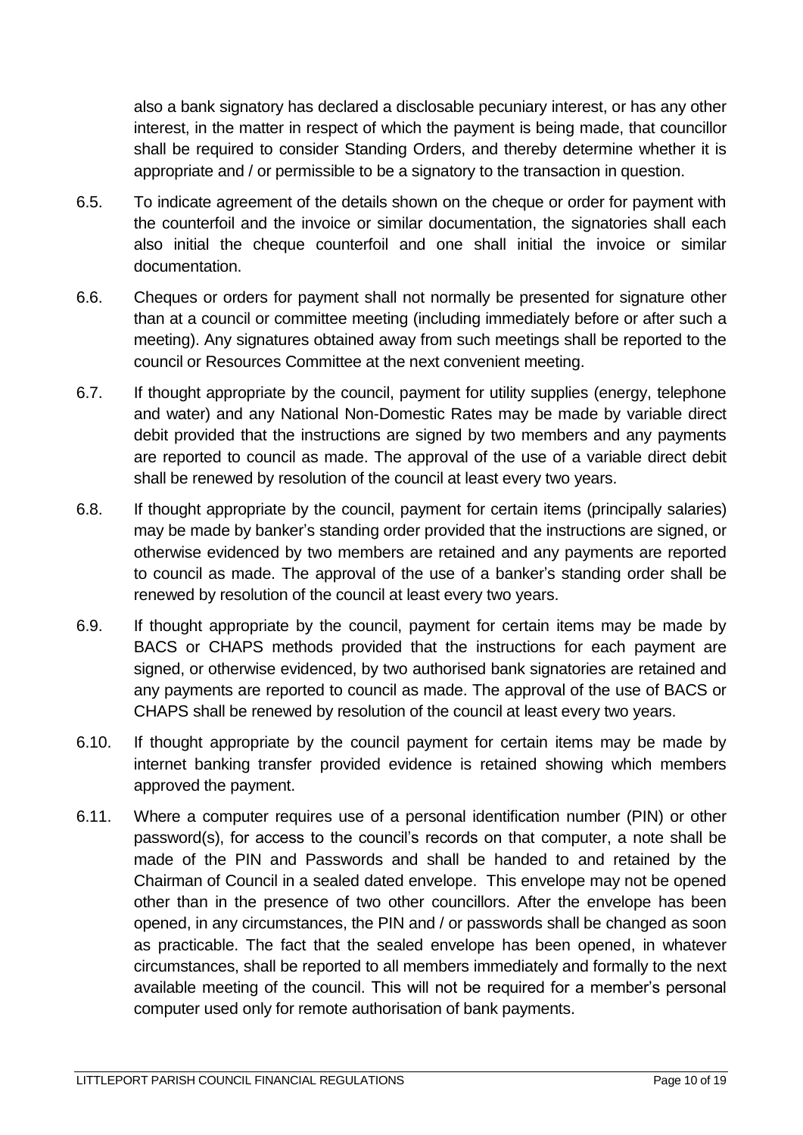also a bank signatory has declared a disclosable pecuniary interest, or has any other interest, in the matter in respect of which the payment is being made, that councillor shall be required to consider Standing Orders, and thereby determine whether it is appropriate and / or permissible to be a signatory to the transaction in question.

- 6.5. To indicate agreement of the details shown on the cheque or order for payment with the counterfoil and the invoice or similar documentation, the signatories shall each also initial the cheque counterfoil and one shall initial the invoice or similar documentation.
- 6.6. Cheques or orders for payment shall not normally be presented for signature other than at a council or committee meeting (including immediately before or after such a meeting). Any signatures obtained away from such meetings shall be reported to the council or Resources Committee at the next convenient meeting.
- 6.7. If thought appropriate by the council, payment for utility supplies (energy, telephone and water) and any National Non-Domestic Rates may be made by variable direct debit provided that the instructions are signed by two members and any payments are reported to council as made. The approval of the use of a variable direct debit shall be renewed by resolution of the council at least every two years.
- 6.8. If thought appropriate by the council, payment for certain items (principally salaries) may be made by banker's standing order provided that the instructions are signed, or otherwise evidenced by two members are retained and any payments are reported to council as made. The approval of the use of a banker's standing order shall be renewed by resolution of the council at least every two years.
- 6.9. If thought appropriate by the council, payment for certain items may be made by BACS or CHAPS methods provided that the instructions for each payment are signed, or otherwise evidenced, by two authorised bank signatories are retained and any payments are reported to council as made. The approval of the use of BACS or CHAPS shall be renewed by resolution of the council at least every two years.
- 6.10. If thought appropriate by the council payment for certain items may be made by internet banking transfer provided evidence is retained showing which members approved the payment.
- 6.11. Where a computer requires use of a personal identification number (PIN) or other password(s), for access to the council's records on that computer, a note shall be made of the PIN and Passwords and shall be handed to and retained by the Chairman of Council in a sealed dated envelope. This envelope may not be opened other than in the presence of two other councillors. After the envelope has been opened, in any circumstances, the PIN and / or passwords shall be changed as soon as practicable. The fact that the sealed envelope has been opened, in whatever circumstances, shall be reported to all members immediately and formally to the next available meeting of the council. This will not be required for a member's personal computer used only for remote authorisation of bank payments.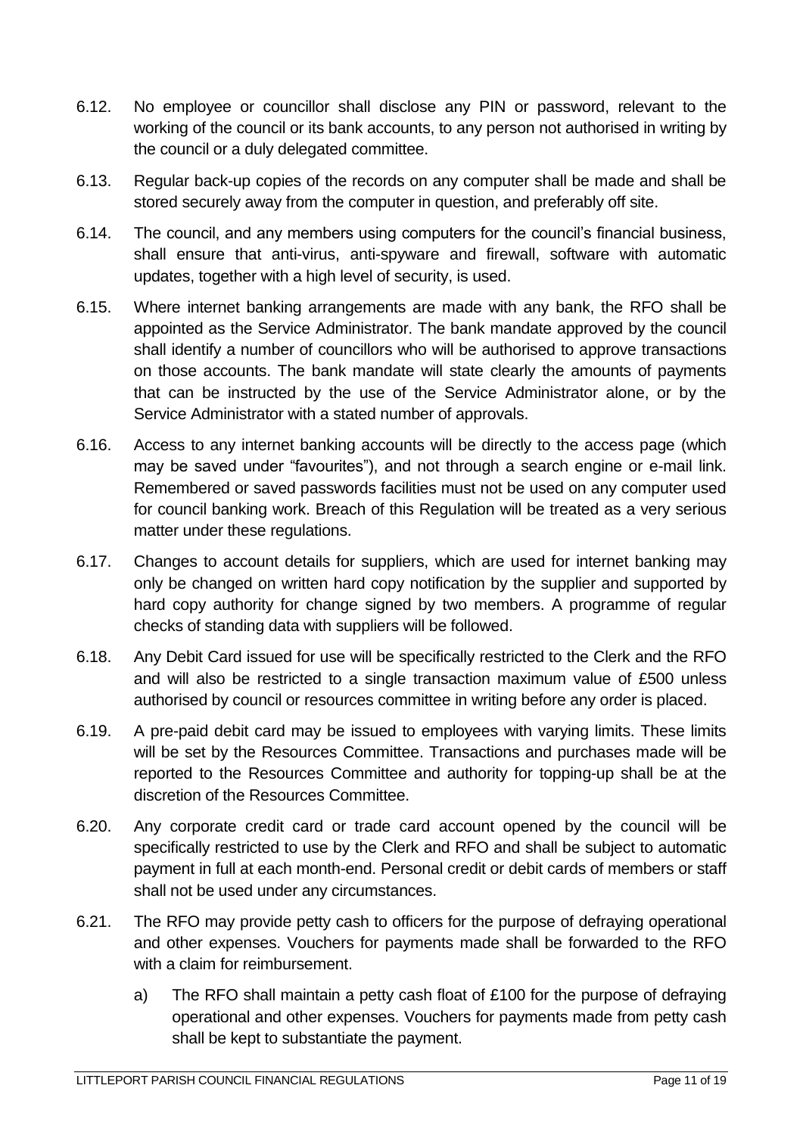- 6.12. No employee or councillor shall disclose any PIN or password, relevant to the working of the council or its bank accounts, to any person not authorised in writing by the council or a duly delegated committee.
- 6.13. Regular back-up copies of the records on any computer shall be made and shall be stored securely away from the computer in question, and preferably off site.
- 6.14. The council, and any members using computers for the council's financial business, shall ensure that anti-virus, anti-spyware and firewall, software with automatic updates, together with a high level of security, is used.
- 6.15. Where internet banking arrangements are made with any bank, the RFO shall be appointed as the Service Administrator. The bank mandate approved by the council shall identify a number of councillors who will be authorised to approve transactions on those accounts. The bank mandate will state clearly the amounts of payments that can be instructed by the use of the Service Administrator alone, or by the Service Administrator with a stated number of approvals.
- 6.16. Access to any internet banking accounts will be directly to the access page (which may be saved under "favourites"), and not through a search engine or e-mail link. Remembered or saved passwords facilities must not be used on any computer used for council banking work. Breach of this Regulation will be treated as a very serious matter under these regulations.
- 6.17. Changes to account details for suppliers, which are used for internet banking may only be changed on written hard copy notification by the supplier and supported by hard copy authority for change signed by two members. A programme of regular checks of standing data with suppliers will be followed.
- 6.18. Any Debit Card issued for use will be specifically restricted to the Clerk and the RFO and will also be restricted to a single transaction maximum value of £500 unless authorised by council or resources committee in writing before any order is placed.
- 6.19. A pre-paid debit card may be issued to employees with varying limits. These limits will be set by the Resources Committee. Transactions and purchases made will be reported to the Resources Committee and authority for topping-up shall be at the discretion of the Resources Committee.
- 6.20. Any corporate credit card or trade card account opened by the council will be specifically restricted to use by the Clerk and RFO and shall be subject to automatic payment in full at each month-end. Personal credit or debit cards of members or staff shall not be used under any circumstances.
- 6.21. The RFO may provide petty cash to officers for the purpose of defraying operational and other expenses. Vouchers for payments made shall be forwarded to the RFO with a claim for reimbursement.
	- a) The RFO shall maintain a petty cash float of £100 for the purpose of defraying operational and other expenses. Vouchers for payments made from petty cash shall be kept to substantiate the payment.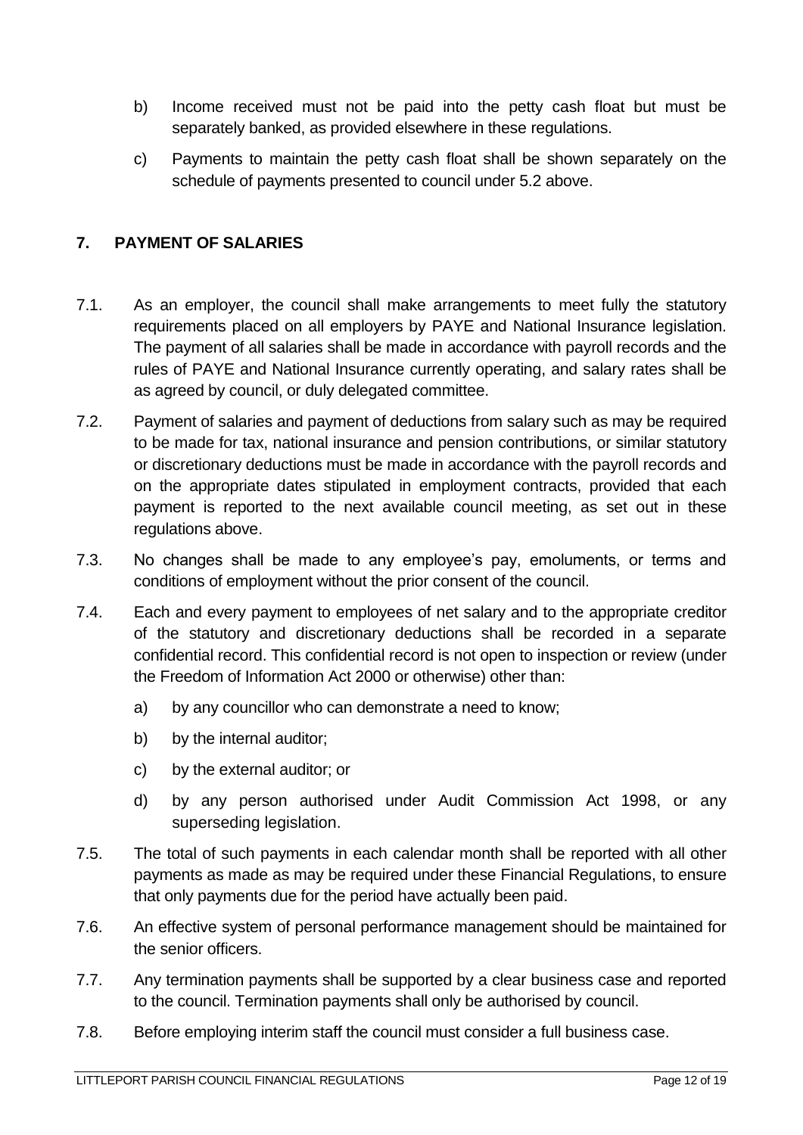- b) Income received must not be paid into the petty cash float but must be separately banked, as provided elsewhere in these regulations.
- c) Payments to maintain the petty cash float shall be shown separately on the schedule of payments presented to council under 5.2 above.

## <span id="page-11-0"></span>**7. PAYMENT OF SALARIES**

- 7.1. As an employer, the council shall make arrangements to meet fully the statutory requirements placed on all employers by PAYE and National Insurance legislation. The payment of all salaries shall be made in accordance with payroll records and the rules of PAYE and National Insurance currently operating, and salary rates shall be as agreed by council, or duly delegated committee.
- 7.2. Payment of salaries and payment of deductions from salary such as may be required to be made for tax, national insurance and pension contributions, or similar statutory or discretionary deductions must be made in accordance with the payroll records and on the appropriate dates stipulated in employment contracts, provided that each payment is reported to the next available council meeting, as set out in these regulations above.
- 7.3. No changes shall be made to any employee's pay, emoluments, or terms and conditions of employment without the prior consent of the council.
- 7.4. Each and every payment to employees of net salary and to the appropriate creditor of the statutory and discretionary deductions shall be recorded in a separate confidential record. This confidential record is not open to inspection or review (under the Freedom of Information Act 2000 or otherwise) other than:
	- a) by any councillor who can demonstrate a need to know;
	- b) by the internal auditor;
	- c) by the external auditor; or
	- d) by any person authorised under Audit Commission Act 1998, or any superseding legislation.
- 7.5. The total of such payments in each calendar month shall be reported with all other payments as made as may be required under these Financial Regulations, to ensure that only payments due for the period have actually been paid.
- 7.6. An effective system of personal performance management should be maintained for the senior officers.
- 7.7. Any termination payments shall be supported by a clear business case and reported to the council. Termination payments shall only be authorised by council.
- 7.8. Before employing interim staff the council must consider a full business case.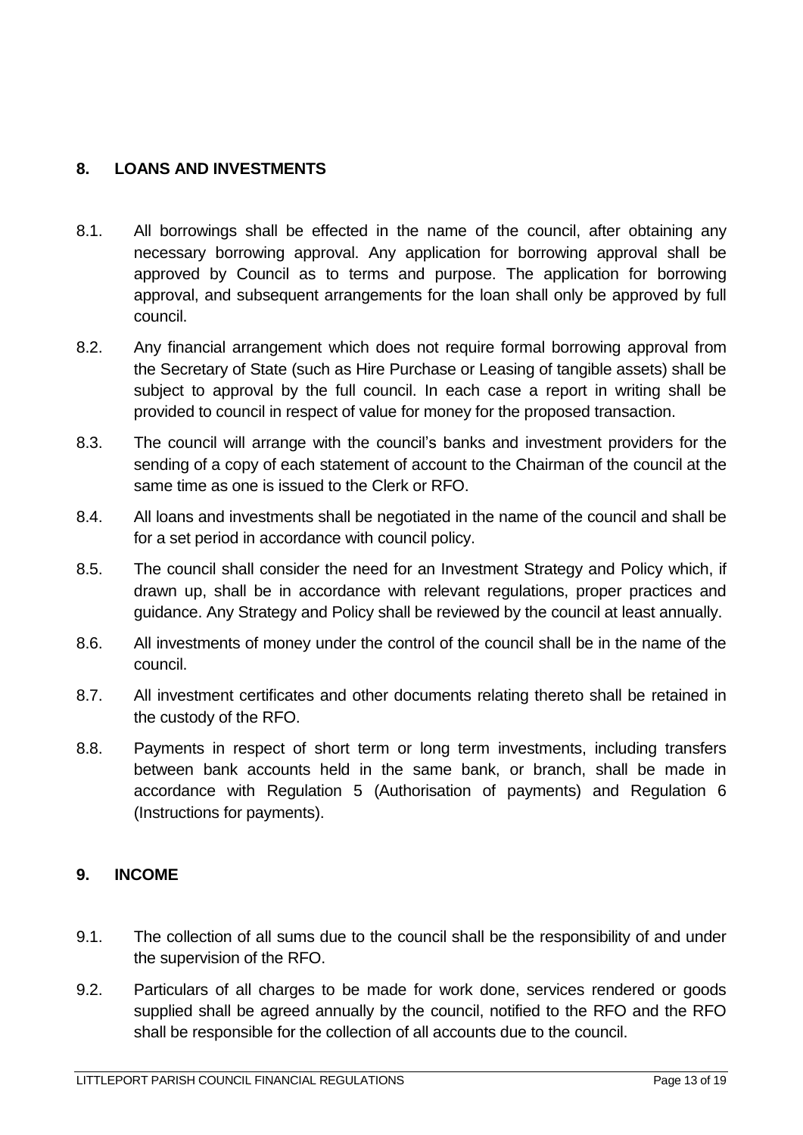#### <span id="page-12-0"></span>**8. LOANS AND INVESTMENTS**

- 8.1. All borrowings shall be effected in the name of the council, after obtaining any necessary borrowing approval. Any application for borrowing approval shall be approved by Council as to terms and purpose. The application for borrowing approval, and subsequent arrangements for the loan shall only be approved by full council.
- 8.2. Any financial arrangement which does not require formal borrowing approval from the Secretary of State (such as Hire Purchase or Leasing of tangible assets) shall be subject to approval by the full council. In each case a report in writing shall be provided to council in respect of value for money for the proposed transaction.
- 8.3. The council will arrange with the council's banks and investment providers for the sending of a copy of each statement of account to the Chairman of the council at the same time as one is issued to the Clerk or RFO.
- 8.4. All loans and investments shall be negotiated in the name of the council and shall be for a set period in accordance with council policy.
- 8.5. The council shall consider the need for an Investment Strategy and Policy which, if drawn up, shall be in accordance with relevant regulations, proper practices and guidance. Any Strategy and Policy shall be reviewed by the council at least annually.
- 8.6. All investments of money under the control of the council shall be in the name of the council.
- 8.7. All investment certificates and other documents relating thereto shall be retained in the custody of the RFO.
- 8.8. Payments in respect of short term or long term investments, including transfers between bank accounts held in the same bank, or branch, shall be made in accordance with Regulation 5 (Authorisation of payments) and Regulation 6 (Instructions for payments).

#### <span id="page-12-1"></span>**9. INCOME**

- 9.1. The collection of all sums due to the council shall be the responsibility of and under the supervision of the RFO.
- 9.2. Particulars of all charges to be made for work done, services rendered or goods supplied shall be agreed annually by the council, notified to the RFO and the RFO shall be responsible for the collection of all accounts due to the council.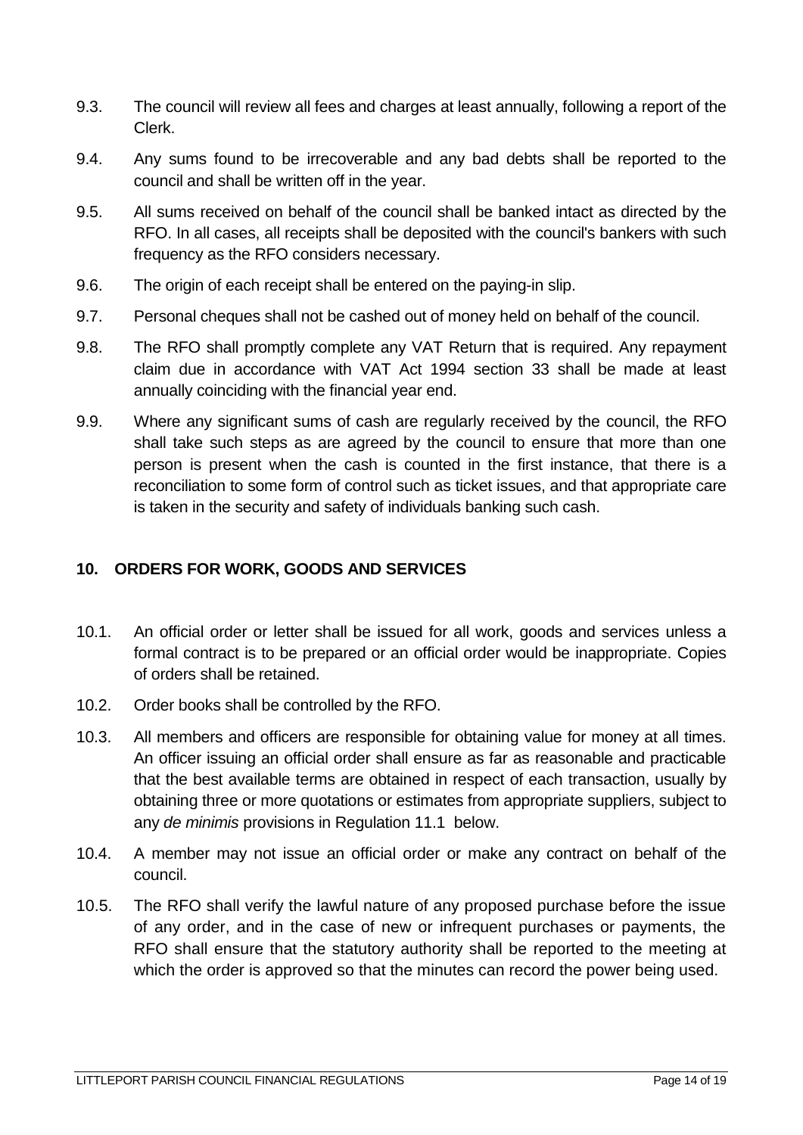- 9.3. The council will review all fees and charges at least annually, following a report of the Clerk.
- 9.4. Any sums found to be irrecoverable and any bad debts shall be reported to the council and shall be written off in the year.
- 9.5. All sums received on behalf of the council shall be banked intact as directed by the RFO. In all cases, all receipts shall be deposited with the council's bankers with such frequency as the RFO considers necessary.
- 9.6. The origin of each receipt shall be entered on the paying-in slip.
- 9.7. Personal cheques shall not be cashed out of money held on behalf of the council.
- 9.8. The RFO shall promptly complete any VAT Return that is required. Any repayment claim due in accordance with VAT Act 1994 section 33 shall be made at least annually coinciding with the financial year end.
- 9.9. Where any significant sums of cash are regularly received by the council, the RFO shall take such steps as are agreed by the council to ensure that more than one person is present when the cash is counted in the first instance, that there is a reconciliation to some form of control such as ticket issues, and that appropriate care is taken in the security and safety of individuals banking such cash.

#### <span id="page-13-0"></span>**10. ORDERS FOR WORK, GOODS AND SERVICES**

- 10.1. An official order or letter shall be issued for all work, goods and services unless a formal contract is to be prepared or an official order would be inappropriate. Copies of orders shall be retained.
- 10.2. Order books shall be controlled by the RFO.
- 10.3. All members and officers are responsible for obtaining value for money at all times. An officer issuing an official order shall ensure as far as reasonable and practicable that the best available terms are obtained in respect of each transaction, usually by obtaining three or more quotations or estimates from appropriate suppliers, subject to any *de minimis* provisions in Regulation 11.1 below.
- 10.4. A member may not issue an official order or make any contract on behalf of the council.
- 10.5. The RFO shall verify the lawful nature of any proposed purchase before the issue of any order, and in the case of new or infrequent purchases or payments, the RFO shall ensure that the statutory authority shall be reported to the meeting at which the order is approved so that the minutes can record the power being used.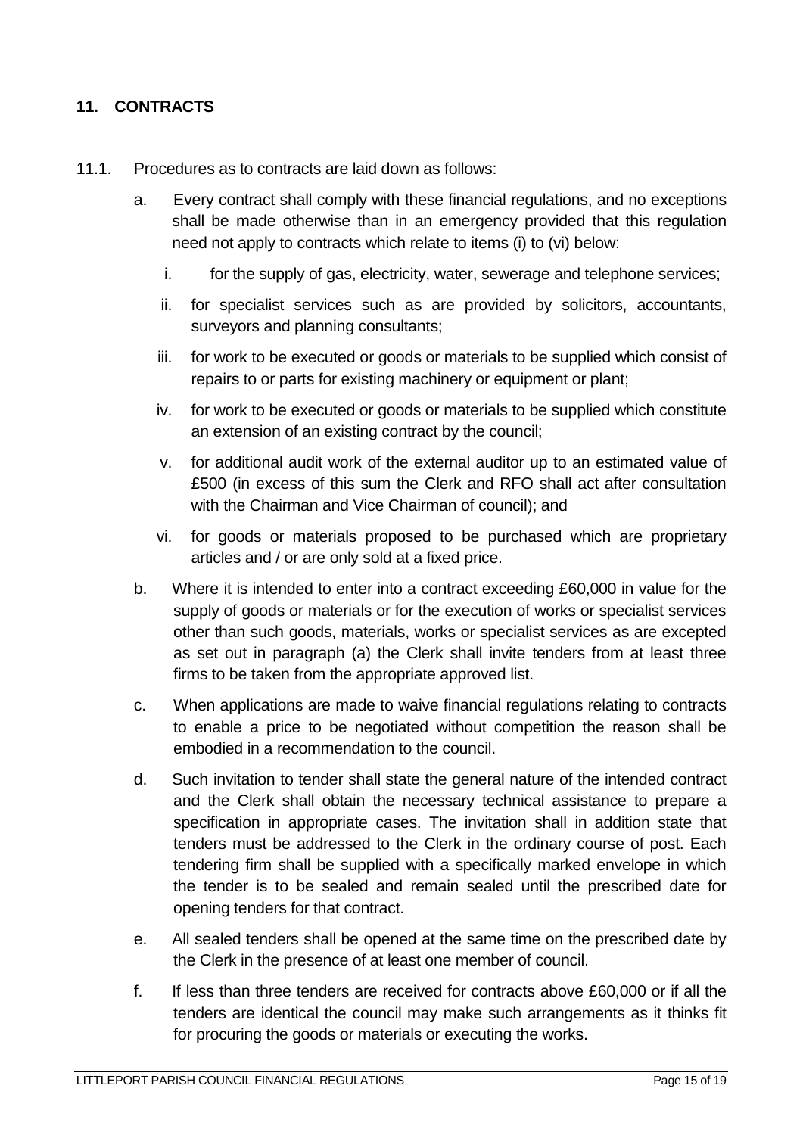## <span id="page-14-0"></span>**11. CONTRACTS**

- 11.1. Procedures as to contracts are laid down as follows:
	- a. Every contract shall comply with these financial regulations, and no exceptions shall be made otherwise than in an emergency provided that this regulation need not apply to contracts which relate to items (i) to (vi) below:
		- i. for the supply of gas, electricity, water, sewerage and telephone services;
		- ii. for specialist services such as are provided by solicitors, accountants, surveyors and planning consultants;
		- iii. for work to be executed or goods or materials to be supplied which consist of repairs to or parts for existing machinery or equipment or plant;
		- iv. for work to be executed or goods or materials to be supplied which constitute an extension of an existing contract by the council;
		- v. for additional audit work of the external auditor up to an estimated value of £500 (in excess of this sum the Clerk and RFO shall act after consultation with the Chairman and Vice Chairman of council); and
		- vi. for goods or materials proposed to be purchased which are proprietary articles and / or are only sold at a fixed price.
	- b. Where it is intended to enter into a contract exceeding £60,000 in value for the supply of goods or materials or for the execution of works or specialist services other than such goods, materials, works or specialist services as are excepted as set out in paragraph (a) the Clerk shall invite tenders from at least three firms to be taken from the appropriate approved list.
	- c. When applications are made to waive financial regulations relating to contracts to enable a price to be negotiated without competition the reason shall be embodied in a recommendation to the council.
	- d. Such invitation to tender shall state the general nature of the intended contract and the Clerk shall obtain the necessary technical assistance to prepare a specification in appropriate cases. The invitation shall in addition state that tenders must be addressed to the Clerk in the ordinary course of post. Each tendering firm shall be supplied with a specifically marked envelope in which the tender is to be sealed and remain sealed until the prescribed date for opening tenders for that contract.
	- e. All sealed tenders shall be opened at the same time on the prescribed date by the Clerk in the presence of at least one member of council.
	- f. If less than three tenders are received for contracts above £60,000 or if all the tenders are identical the council may make such arrangements as it thinks fit for procuring the goods or materials or executing the works.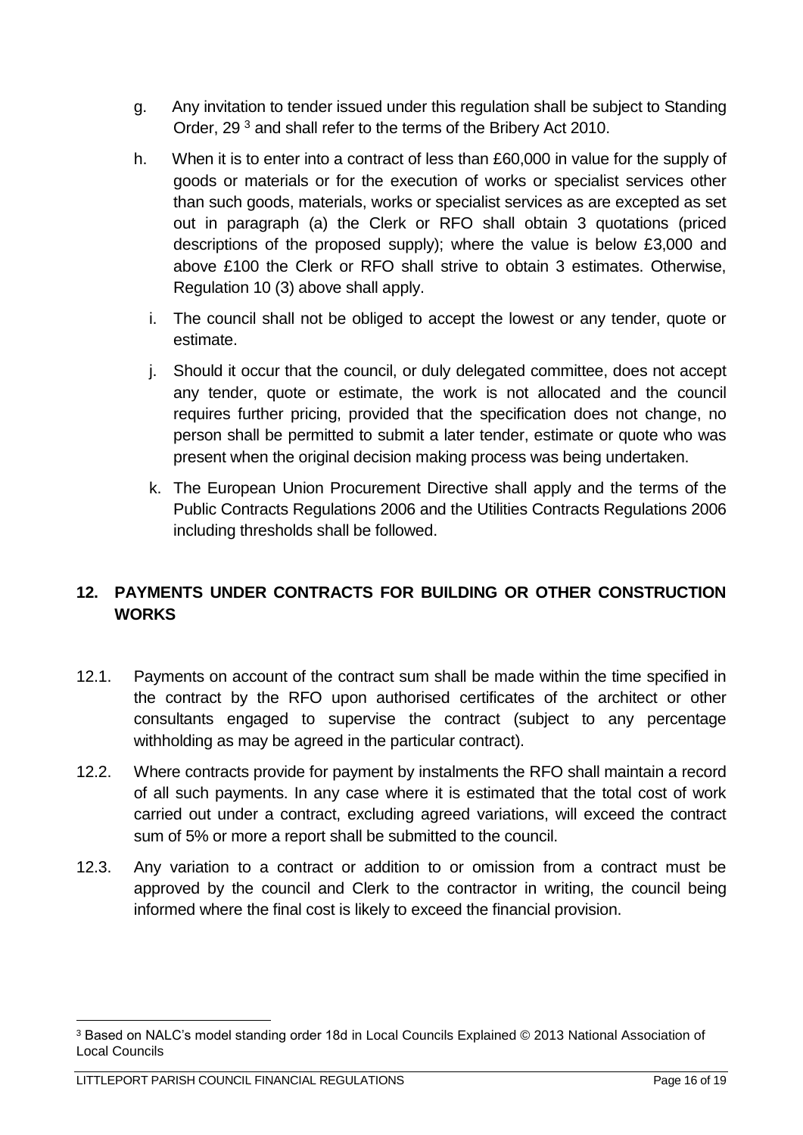- g. Any invitation to tender issued under this regulation shall be subject to Standing Order, 29 <sup>3</sup> and shall refer to the terms of the Bribery Act 2010.
- h. When it is to enter into a contract of less than £60,000 in value for the supply of goods or materials or for the execution of works or specialist services other than such goods, materials, works or specialist services as are excepted as set out in paragraph (a) the Clerk or RFO shall obtain 3 quotations (priced descriptions of the proposed supply); where the value is below £3,000 and above £100 the Clerk or RFO shall strive to obtain 3 estimates. Otherwise, Regulation 10 (3) above shall apply.
	- i. The council shall not be obliged to accept the lowest or any tender, quote or estimate.
	- j. Should it occur that the council, or duly delegated committee, does not accept any tender, quote or estimate, the work is not allocated and the council requires further pricing, provided that the specification does not change, no person shall be permitted to submit a later tender, estimate or quote who was present when the original decision making process was being undertaken.
	- k. The European Union Procurement Directive shall apply and the terms of the Public Contracts Regulations 2006 and the Utilities Contracts Regulations 2006 including thresholds shall be followed.

## <span id="page-15-0"></span>**12. PAYMENTS UNDER CONTRACTS FOR BUILDING OR OTHER CONSTRUCTION WORKS**

- 12.1. Payments on account of the contract sum shall be made within the time specified in the contract by the RFO upon authorised certificates of the architect or other consultants engaged to supervise the contract (subject to any percentage withholding as may be agreed in the particular contract).
- 12.2. Where contracts provide for payment by instalments the RFO shall maintain a record of all such payments. In any case where it is estimated that the total cost of work carried out under a contract, excluding agreed variations, will exceed the contract sum of 5% or more a report shall be submitted to the council.
- 12.3. Any variation to a contract or addition to or omission from a contract must be approved by the council and Clerk to the contractor in writing, the council being informed where the final cost is likely to exceed the financial provision.

<sup>1</sup> <sup>3</sup> Based on NALC's model standing order 18d in Local Councils Explained © 2013 National Association of Local Councils

LITTLEPORT PARISH COUNCIL FINANCIAL REGULATIONS **Page 16 of 19** Page 16 of 19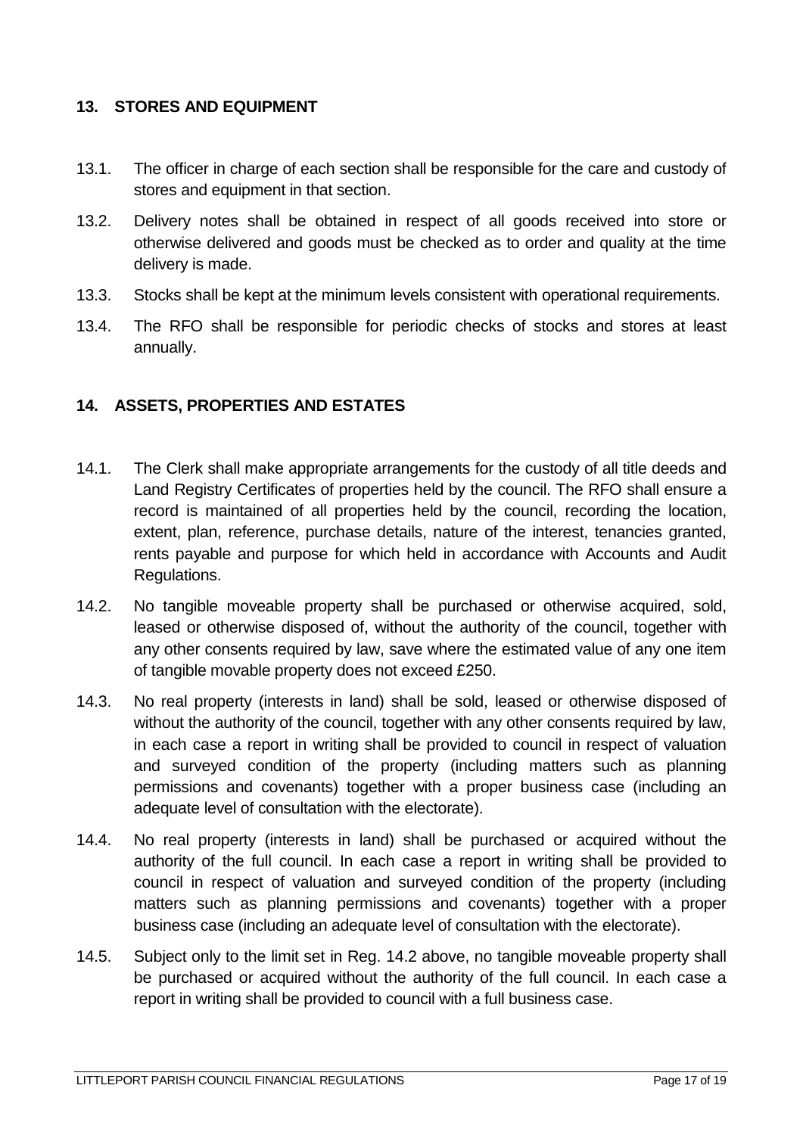#### <span id="page-16-0"></span>**13. STORES AND EQUIPMENT**

- 13.1. The officer in charge of each section shall be responsible for the care and custody of stores and equipment in that section.
- 13.2. Delivery notes shall be obtained in respect of all goods received into store or otherwise delivered and goods must be checked as to order and quality at the time delivery is made.
- 13.3. Stocks shall be kept at the minimum levels consistent with operational requirements.
- 13.4. The RFO shall be responsible for periodic checks of stocks and stores at least annually.

### <span id="page-16-1"></span>**14. ASSETS, PROPERTIES AND ESTATES**

- 14.1. The Clerk shall make appropriate arrangements for the custody of all title deeds and Land Registry Certificates of properties held by the council. The RFO shall ensure a record is maintained of all properties held by the council, recording the location, extent, plan, reference, purchase details, nature of the interest, tenancies granted, rents payable and purpose for which held in accordance with Accounts and Audit Regulations.
- 14.2. No tangible moveable property shall be purchased or otherwise acquired, sold, leased or otherwise disposed of, without the authority of the council, together with any other consents required by law, save where the estimated value of any one item of tangible movable property does not exceed £250.
- 14.3. No real property (interests in land) shall be sold, leased or otherwise disposed of without the authority of the council, together with any other consents required by law, in each case a report in writing shall be provided to council in respect of valuation and surveyed condition of the property (including matters such as planning permissions and covenants) together with a proper business case (including an adequate level of consultation with the electorate).
- 14.4. No real property (interests in land) shall be purchased or acquired without the authority of the full council. In each case a report in writing shall be provided to council in respect of valuation and surveyed condition of the property (including matters such as planning permissions and covenants) together with a proper business case (including an adequate level of consultation with the electorate).
- 14.5. Subject only to the limit set in Reg. 14.2 above, no tangible moveable property shall be purchased or acquired without the authority of the full council. In each case a report in writing shall be provided to council with a full business case.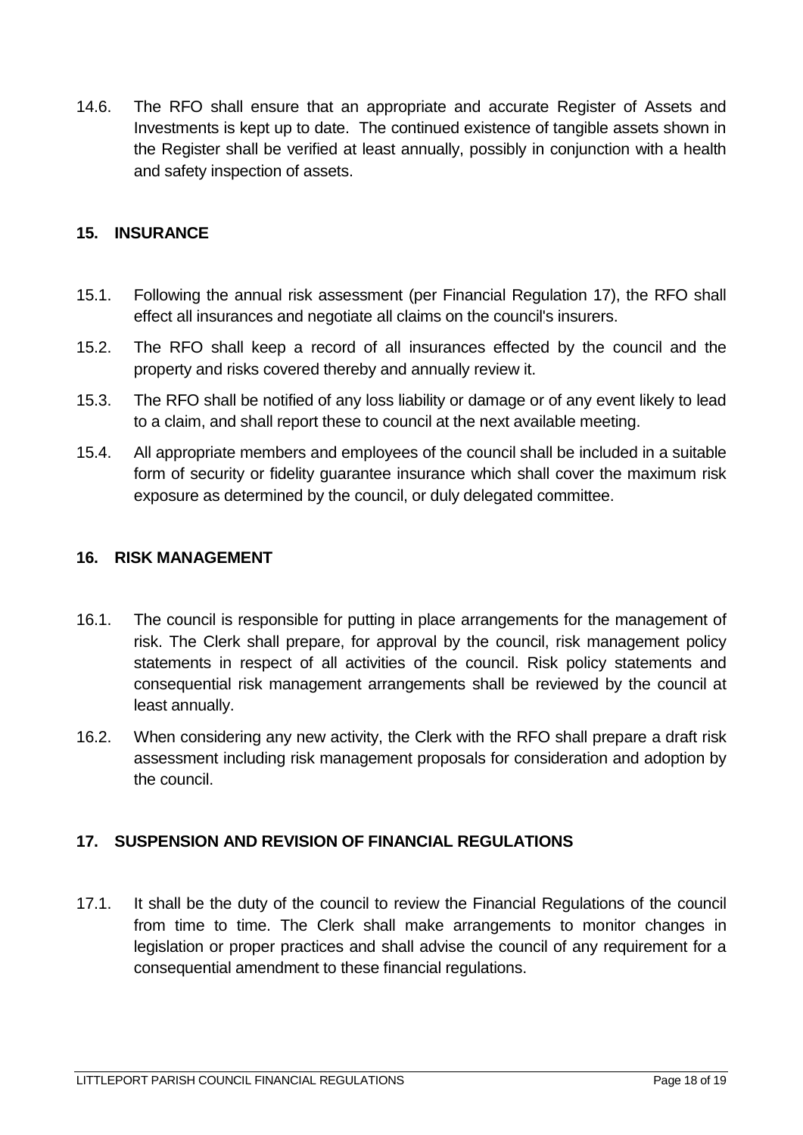14.6. The RFO shall ensure that an appropriate and accurate Register of Assets and Investments is kept up to date. The continued existence of tangible assets shown in the Register shall be verified at least annually, possibly in conjunction with a health and safety inspection of assets.

#### <span id="page-17-0"></span>**15. INSURANCE**

- 15.1. Following the annual risk assessment (per Financial Regulation 17), the RFO shall effect all insurances and negotiate all claims on the council's insurers.
- 15.2. The RFO shall keep a record of all insurances effected by the council and the property and risks covered thereby and annually review it.
- 15.3. The RFO shall be notified of any loss liability or damage or of any event likely to lead to a claim, and shall report these to council at the next available meeting.
- 15.4. All appropriate members and employees of the council shall be included in a suitable form of security or fidelity guarantee insurance which shall cover the maximum risk exposure as determined by the council, or duly delegated committee.

#### <span id="page-17-1"></span>**16. RISK MANAGEMENT**

- 16.1. The council is responsible for putting in place arrangements for the management of risk. The Clerk shall prepare, for approval by the council, risk management policy statements in respect of all activities of the council. Risk policy statements and consequential risk management arrangements shall be reviewed by the council at least annually.
- 16.2. When considering any new activity, the Clerk with the RFO shall prepare a draft risk assessment including risk management proposals for consideration and adoption by the council.

#### <span id="page-17-2"></span>**17. SUSPENSION AND REVISION OF FINANCIAL REGULATIONS**

17.1. It shall be the duty of the council to review the Financial Regulations of the council from time to time. The Clerk shall make arrangements to monitor changes in legislation or proper practices and shall advise the council of any requirement for a consequential amendment to these financial regulations.